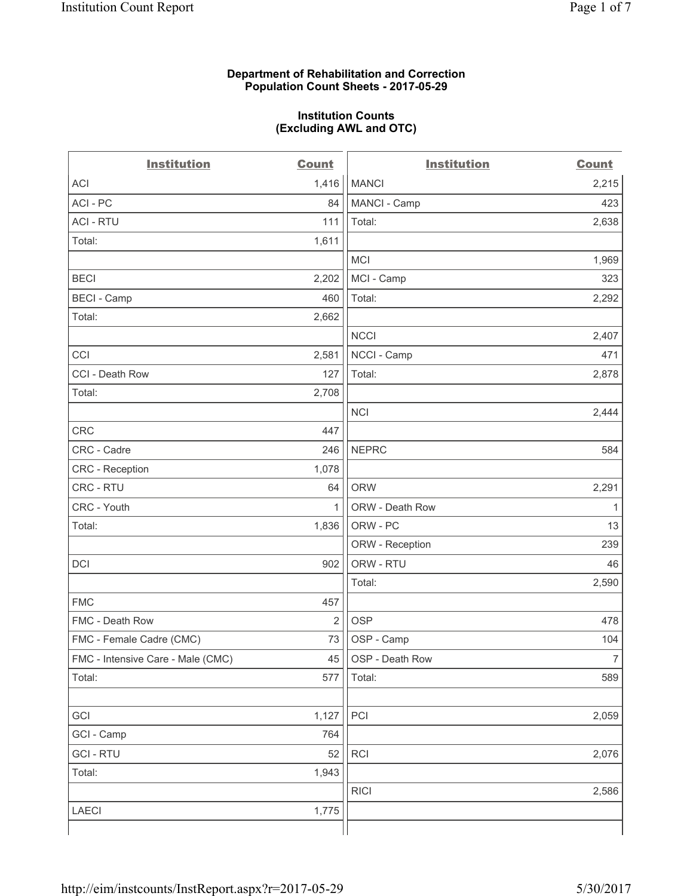#### **Department of Rehabilitation and Correction Population Count Sheets - 2017-05-29**

#### **Institution Counts (Excluding AWL and OTC)**

 $-$ 

| <b>Institution</b>                | <b>Count</b>   | <b>Institution</b> | <b>Count</b>   |
|-----------------------------------|----------------|--------------------|----------------|
| ACI                               | 1,416          | <b>MANCI</b>       | 2,215          |
| ACI - PC                          | 84             | MANCI - Camp       | 423            |
| <b>ACI - RTU</b>                  | 111            | Total:             | 2,638          |
| Total:                            | 1,611          |                    |                |
|                                   |                | MCI                | 1,969          |
| <b>BECI</b>                       | 2,202          | MCI - Camp         | 323            |
| <b>BECI</b> - Camp                | 460            | Total:             | 2,292          |
| Total:                            | 2,662          |                    |                |
|                                   |                | <b>NCCI</b>        | 2,407          |
| CCI                               | 2,581          | NCCI - Camp        | 471            |
| CCI - Death Row                   | 127            | Total:             | 2,878          |
| Total:                            | 2,708          |                    |                |
|                                   |                | <b>NCI</b>         | 2,444          |
| <b>CRC</b>                        | 447            |                    |                |
| CRC - Cadre                       | 246            | <b>NEPRC</b>       | 584            |
| CRC - Reception                   | 1,078          |                    |                |
| CRC - RTU                         | 64             | <b>ORW</b>         | 2,291          |
| CRC - Youth                       | $\mathbf{1}$   | ORW - Death Row    | 1              |
| Total:                            | 1,836          | ORW - PC           | 13             |
|                                   |                | ORW - Reception    | 239            |
| DCI                               | 902            | ORW - RTU          | 46             |
|                                   |                | Total:             | 2,590          |
| <b>FMC</b>                        | 457            |                    |                |
| FMC - Death Row                   | $\overline{2}$ | <b>OSP</b>         | 478            |
| FMC - Female Cadre (CMC)          | 73             | OSP - Camp         | 104            |
| FMC - Intensive Care - Male (CMC) | 45             | OSP - Death Row    | $\overline{7}$ |
| Total:                            | 577            | Total:             | 589            |
|                                   |                |                    |                |
| GCI                               | 1,127          | PCI                | 2,059          |
| GCI - Camp                        | 764            |                    |                |
| <b>GCI-RTU</b>                    | 52             | RCI                | 2,076          |
| Total:                            | 1,943          |                    |                |
|                                   |                | <b>RICI</b>        | 2,586          |
| LAECI                             | 1,775          |                    |                |
|                                   |                |                    |                |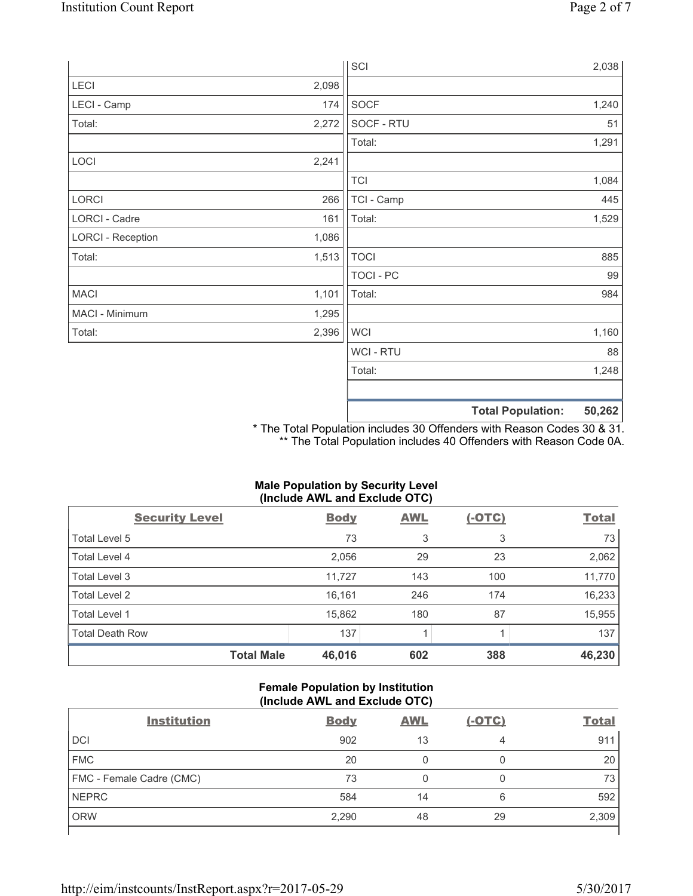|                          |       | SCI            |                          | 2,038  |
|--------------------------|-------|----------------|--------------------------|--------|
| LECI                     | 2,098 |                |                          |        |
| LECI - Camp              | 174   | SOCF           |                          | 1,240  |
| Total:                   | 2,272 | SOCF - RTU     |                          | 51     |
|                          |       | Total:         |                          | 1,291  |
| LOCI                     | 2,241 |                |                          |        |
|                          |       | <b>TCI</b>     |                          | 1,084  |
| LORCI                    | 266   | TCI - Camp     |                          | 445    |
| LORCI - Cadre            | 161   | Total:         |                          | 1,529  |
| <b>LORCI - Reception</b> | 1,086 |                |                          |        |
| Total:                   | 1,513 | <b>TOCI</b>    |                          | 885    |
|                          |       | TOCI - PC      |                          | 99     |
| <b>MACI</b>              | 1,101 | Total:         |                          | 984    |
| MACI - Minimum           | 1,295 |                |                          |        |
| Total:                   | 2,396 | <b>WCI</b>     |                          | 1,160  |
|                          |       | <b>WCI-RTU</b> |                          | 88     |
|                          |       | Total:         |                          | 1,248  |
|                          |       |                |                          |        |
|                          |       |                | <b>Total Population:</b> | 50,262 |

\* The Total Population includes 30 Offenders with Reason Codes 30 & 31. \*\* The Total Population includes 40 Offenders with Reason Code 0A.

### **Male Population by Security Level (Include AWL and Exclude OTC)**

| $\mathbf{v}$<br><b>Security Level</b> | <b>Body</b> | . .<br><b>AWL</b> | $(-OTC)$ | <b>Total</b> |
|---------------------------------------|-------------|-------------------|----------|--------------|
| Total Level 5                         | 73          | 3                 | 3        | 73           |
| Total Level 4                         | 2,056       | 29                | 23       | 2,062        |
| Total Level 3                         | 11,727      | 143               | 100      | 11,770       |
| Total Level 2                         | 16,161      | 246               | 174      | 16,233       |
| <b>Total Level 1</b>                  | 15,862      | 180               | 87       | 15,955       |
| <b>Total Death Row</b>                | 137         |                   |          | 137          |
| <b>Total Male</b>                     | 46,016      | 602               | 388      | 46,230       |

### **Female Population by Institution (Include AWL and Exclude OTC)**

| <b>Institution</b>       | <b>Body</b> | <b>AWL</b> | <u>(-OTC)</u> | <b>Total</b> |
|--------------------------|-------------|------------|---------------|--------------|
| <b>DCI</b>               | 902         | 13         | 4             | 911          |
| <b>FMC</b>               | 20          | 0          | 0             | 20           |
| FMC - Female Cadre (CMC) | 73          |            |               | 73           |
| <b>NEPRC</b>             | 584         | 14         | 6             | 592          |
| <b>ORW</b>               | 2,290       | 48         | 29            | 2,309        |
|                          |             |            |               |              |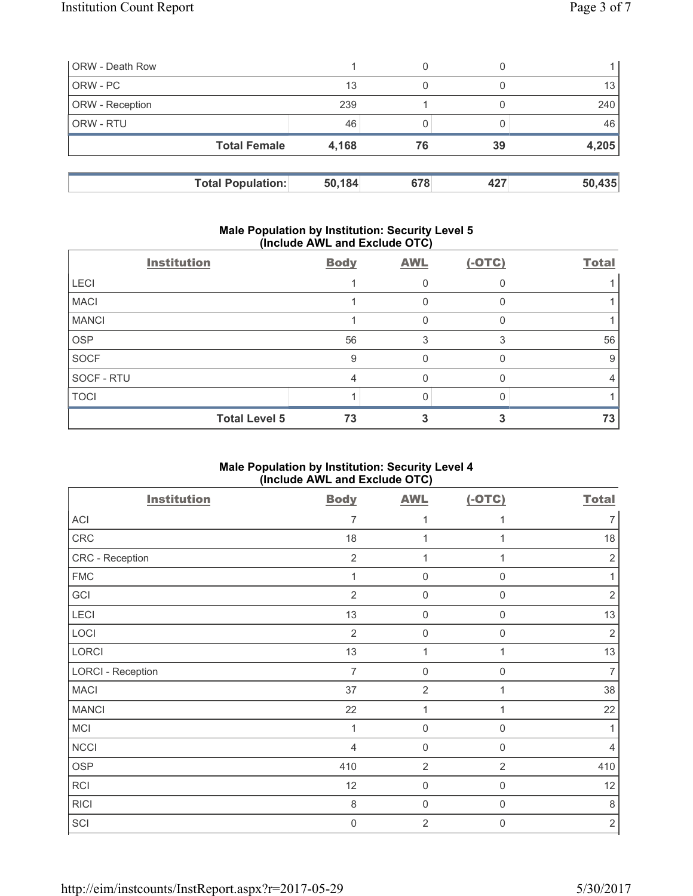| <b>ORW</b> - Death Row   |        | 0   |     |        |
|--------------------------|--------|-----|-----|--------|
| ORW - PC                 | 13     | 0   |     | 13     |
| <b>ORW</b> - Reception   | 239    |     |     | 240    |
| <b>ORW - RTU</b>         | 46     |     |     | 46     |
| <b>Total Female</b>      | 4,168  | 76  | 39  | 4,205  |
|                          |        |     |     |        |
| <b>Total Population:</b> | 50,184 | 678 | 427 | 50,435 |

#### **Male Population by Institution: Security Level 5 (Include AWL and Exclude OTC)**

|              | <b>Institution</b>   | <b>Body</b> | <b>AWL</b> | $(-OTC)$ | <b>Total</b> |
|--------------|----------------------|-------------|------------|----------|--------------|
| <b>LECI</b>  |                      |             |            |          |              |
| <b>MACI</b>  |                      |             | 0          |          |              |
| <b>MANCI</b> |                      |             | 0          |          |              |
| <b>OSP</b>   |                      | 56          | 3          | 3        | 56           |
| <b>SOCF</b>  |                      | 9           | 0          |          | 9            |
| SOCF - RTU   |                      | 4           | 0          |          | 4            |
| <b>TOCI</b>  |                      |             |            |          |              |
|              | <b>Total Level 5</b> | 73          |            |          | 73           |

## **Male Population by Institution: Security Level 4 (Include AWL and Exclude OTC)**

| <b>Institution</b>       | <b>Body</b>    | <b>AWL</b>          | $(-OTC)$         | <b>Total</b>   |
|--------------------------|----------------|---------------------|------------------|----------------|
| <b>ACI</b>               | $\overline{7}$ | 1                   | 1                | $\overline{7}$ |
| CRC                      | 18             | 1                   |                  | 18             |
| CRC - Reception          | $\overline{2}$ | 1                   | 1                | $\sqrt{2}$     |
| ${\sf FMC}$              | 1              | $\mathbf 0$         | $\boldsymbol{0}$ |                |
| GCI                      | $\overline{2}$ | $\mathsf{O}\xspace$ | $\mathbf 0$      | $\sqrt{2}$     |
| LECI                     | 13             | $\mathsf{O}\xspace$ | $\boldsymbol{0}$ | 13             |
| LOCI                     | $\overline{2}$ | $\mathsf{O}\xspace$ | 0                | $\sqrt{2}$     |
| <b>LORCI</b>             | 13             | 1                   | 1                | 13             |
| <b>LORCI - Reception</b> | $\overline{7}$ | $\mathbf 0$         | $\boldsymbol{0}$ | $\overline{7}$ |
| <b>MACI</b>              | 37             | $\overline{2}$      | 1                | 38             |
| <b>MANCI</b>             | 22             | 1                   | 1                | 22             |
| <b>MCI</b>               | 1              | $\mathbf 0$         | $\mathbf 0$      | 1              |
| <b>NCCI</b>              | $\overline{4}$ | $\mathbf 0$         | 0                | $\overline{4}$ |
| <b>OSP</b>               | 410            | $\overline{2}$      | $\overline{2}$   | 410            |
| RCI                      | 12             | $\mathbf 0$         | $\mathbf 0$      | 12             |
| <b>RICI</b>              | 8              | $\mathbf 0$         | $\mathbf 0$      | 8              |
| SCI                      | $\mathbf 0$    | $\overline{2}$      | $\boldsymbol{0}$ | $\sqrt{2}$     |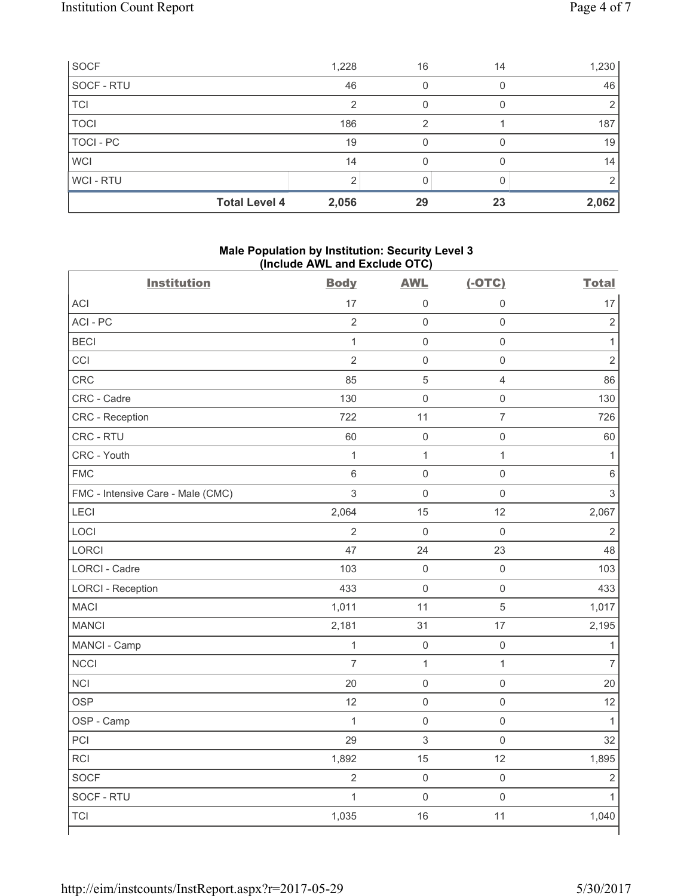| SOCF           | 1,228                         | 16 | 14 | 1,230 |
|----------------|-------------------------------|----|----|-------|
| SOCF - RTU     | 46                            |    |    | 46    |
| <b>TCI</b>     | っ                             |    |    | 2     |
| <b>TOCI</b>    | 186                           | 2  |    | 187   |
| TOCI - PC      | 19                            |    |    | 19    |
| <b>WCI</b>     | 14                            |    |    | 14    |
| <b>WCI-RTU</b> | ◠                             |    |    |       |
|                | <b>Total Level 4</b><br>2,056 | 29 | 23 | 2,062 |

## **Male Population by Institution: Security Level 3 (Include AWL and Exclude OTC)**

| <b>Institution</b>                | <b>Body</b>    | <b>AWL</b>          | $(-OTC)$            | <b>Total</b>   |
|-----------------------------------|----------------|---------------------|---------------------|----------------|
| ACI                               | 17             | $\mathsf{O}\xspace$ | $\mathsf 0$         | 17             |
| ACI - PC                          | $\overline{2}$ | $\mathsf 0$         | $\mathsf{O}\xspace$ | $\overline{2}$ |
| <b>BECI</b>                       | $\mathbf{1}$   | $\mathsf{O}\xspace$ | $\mathsf{O}\xspace$ | $\mathbf{1}$   |
| CCI                               | $\overline{2}$ | $\mathsf{O}\xspace$ | $\mathsf{O}\xspace$ | $\overline{2}$ |
| CRC                               | 85             | 5                   | $\overline{4}$      | 86             |
| CRC - Cadre                       | 130            | $\mathbf 0$         | $\mathsf{O}\xspace$ | 130            |
| CRC - Reception                   | 722            | 11                  | $\overline{7}$      | 726            |
| CRC - RTU                         | 60             | $\mathbf 0$         | $\mathsf{O}\xspace$ | 60             |
| CRC - Youth                       | $\mathbf{1}$   | $\mathbf{1}$        | $\mathbf{1}$        | $\mathbf{1}$   |
| <b>FMC</b>                        | $6\phantom{a}$ | $\mathsf{O}\xspace$ | $\mathsf{O}\xspace$ | $\,6$          |
| FMC - Intensive Care - Male (CMC) | $\overline{3}$ | $\mathbf 0$         | $\mathsf{O}\xspace$ | 3              |
| LECI                              | 2,064          | 15                  | 12                  | 2,067          |
| LOCI                              | $\overline{2}$ | $\mathbf 0$         | $\mathsf 0$         | $\overline{2}$ |
| LORCI                             | 47             | 24                  | 23                  | 48             |
| <b>LORCI - Cadre</b>              | 103            | $\mathsf 0$         | $\mathsf{O}\xspace$ | 103            |
| <b>LORCI - Reception</b>          | 433            | $\mathbf 0$         | $\mathsf{O}\xspace$ | 433            |
| <b>MACI</b>                       | 1,011          | 11                  | 5                   | 1,017          |
| <b>MANCI</b>                      | 2,181          | 31                  | 17                  | 2,195          |
| MANCI - Camp                      | $\mathbf{1}$   | $\mathbf 0$         | $\mathsf 0$         | $\mathbf{1}$   |
| <b>NCCI</b>                       | $\overline{7}$ | $\mathbf 1$         | $\mathbf{1}$        | $\overline{7}$ |
| <b>NCI</b>                        | 20             | $\mathsf{O}\xspace$ | $\mathsf{O}\xspace$ | 20             |
| <b>OSP</b>                        | 12             | $\mathsf{O}\xspace$ | $\mathsf{O}\xspace$ | 12             |
| OSP - Camp                        | $\mathbf{1}$   | $\mathbf 0$         | $\mathsf{O}\xspace$ | $\mathbf{1}$   |
| PCI                               | 29             | 3                   | $\mathsf{O}\xspace$ | 32             |
| <b>RCI</b>                        | 1,892          | 15                  | 12                  | 1,895          |
| <b>SOCF</b>                       | $\overline{2}$ | $\mathbf 0$         | $\mathsf{O}\xspace$ | $\overline{2}$ |
| SOCF - RTU                        | $\mathbf{1}$   | $\mathsf{O}\xspace$ | $\mathsf{O}\xspace$ | $\mathbf{1}$   |
| <b>TCI</b>                        | 1,035          | 16                  | 11                  | 1,040          |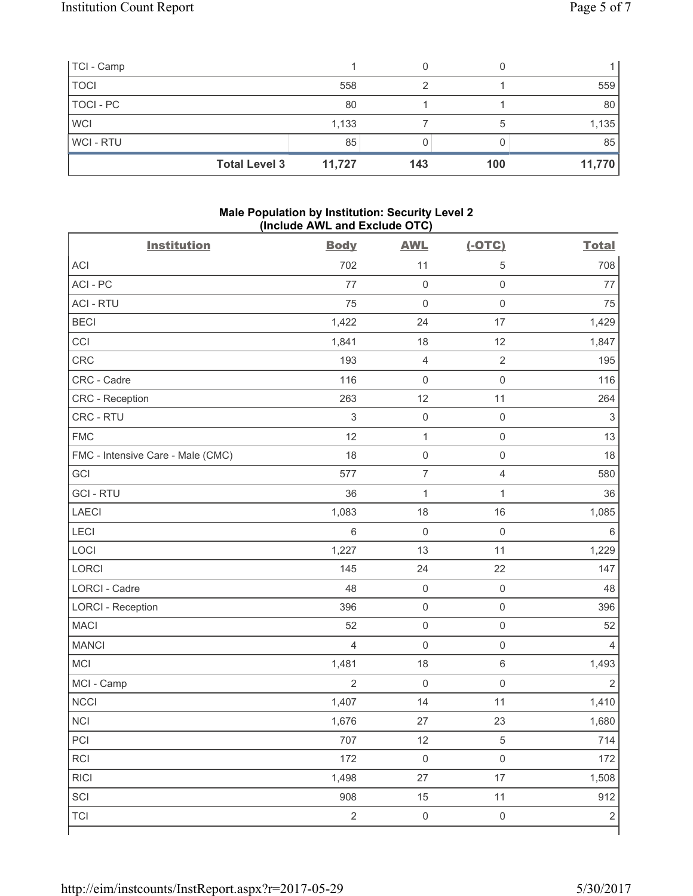| TCI - Camp  |                      |        |     |     |        |
|-------------|----------------------|--------|-----|-----|--------|
| <b>TOCI</b> |                      | 558    |     |     | 559    |
| TOCI - PC   |                      | 80     |     |     | 80     |
| <b>WCI</b>  |                      | 1,133  |     | 5   | 1,135  |
| WCI-RTU     |                      | 85     |     |     | 85     |
|             | <b>Total Level 3</b> | 11,727 | 143 | 100 | 11,770 |

### **Male Population by Institution: Security Level 2 (Include AWL and Exclude OTC)**

| <b>Institution</b>                | <b>Body</b>    | <b>AWL</b>          | $(-OTC)$            | <b>Total</b>              |
|-----------------------------------|----------------|---------------------|---------------------|---------------------------|
| <b>ACI</b>                        | 702            | 11                  | 5                   | 708                       |
| ACI-PC                            | 77             | $\mathsf 0$         | $\mathbf 0$         | 77                        |
| <b>ACI - RTU</b>                  | 75             | $\mathbf 0$         | $\mathsf 0$         | 75                        |
| <b>BECI</b>                       | 1,422          | 24                  | 17                  | 1,429                     |
| CCI                               | 1,841          | 18                  | 12                  | 1,847                     |
| <b>CRC</b>                        | 193            | $\overline{4}$      | $\overline{2}$      | 195                       |
| CRC - Cadre                       | 116            | $\mathsf{O}\xspace$ | $\mathsf 0$         | 116                       |
| CRC - Reception                   | 263            | 12                  | 11                  | 264                       |
| CRC - RTU                         | $\sqrt{3}$     | $\mathsf{O}\xspace$ | $\mathsf 0$         | $\ensuremath{\mathsf{3}}$ |
| <b>FMC</b>                        | 12             | $\mathbf{1}$        | $\mathsf 0$         | 13                        |
| FMC - Intensive Care - Male (CMC) | 18             | $\mathsf 0$         | $\mathsf 0$         | 18                        |
| GCI                               | 577            | $\overline{7}$      | $\overline{4}$      | 580                       |
| <b>GCI-RTU</b>                    | 36             | $\mathbf{1}$        | 1                   | 36                        |
| <b>LAECI</b>                      | 1,083          | 18                  | 16                  | 1,085                     |
| LECI                              | 6              | $\mathbf 0$         | $\mathsf{O}\xspace$ | $\,6$                     |
| LOCI                              | 1,227          | 13                  | 11                  | 1,229                     |
| LORCI                             | 145            | 24                  | 22                  | 147                       |
| LORCI - Cadre                     | 48             | $\mathsf{O}\xspace$ | $\mathsf 0$         | 48                        |
| <b>LORCI - Reception</b>          | 396            | $\mathsf{O}\xspace$ | $\mathsf 0$         | 396                       |
| <b>MACI</b>                       | 52             | $\mathsf{O}\xspace$ | $\mathsf{O}\xspace$ | 52                        |
| <b>MANCI</b>                      | $\overline{4}$ | $\mathsf{O}\xspace$ | $\mathsf 0$         | $\overline{4}$            |
| MCI                               | 1,481          | 18                  | $\,6\,$             | 1,493                     |
| MCI - Camp                        | $\overline{2}$ | $\mathbf 0$         | $\mathsf 0$         | $\overline{2}$            |
| <b>NCCI</b>                       | 1,407          | 14                  | 11                  | 1,410                     |
| <b>NCI</b>                        | 1,676          | 27                  | 23                  | 1,680                     |
| PCI                               | 707            | 12                  | $\,$ 5 $\,$         | 714                       |
| RCI                               | 172            | $\mathsf{O}\xspace$ | $\mathsf{O}\xspace$ | 172                       |
| <b>RICI</b>                       | 1,498          | 27                  | 17                  | 1,508                     |
| SCI                               | 908            | 15                  | 11                  | 912                       |
| <b>TCI</b>                        | $\overline{2}$ | $\mathsf{O}\xspace$ | $\mathsf{O}\xspace$ | $\sqrt{2}$                |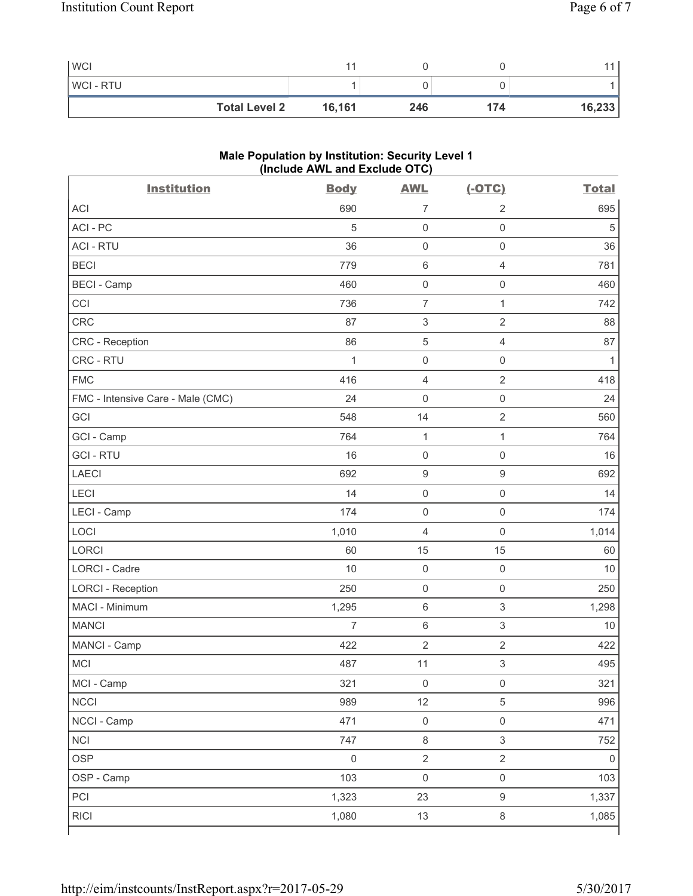| <b>WCI</b>           |        |     |     |        |
|----------------------|--------|-----|-----|--------|
| <b>WCI-RTU</b>       |        |     |     |        |
| <b>Total Level 2</b> | 16,161 | 246 | 174 | 16,233 |

# **Male Population by Institution: Security Level 1 (Include AWL and Exclude OTC)**

| <b>Institution</b>                | <b>Body</b>         | <b>AWL</b>                | $(-OTC)$                  | <b>Total</b> |
|-----------------------------------|---------------------|---------------------------|---------------------------|--------------|
| <b>ACI</b>                        | 690                 | $\overline{7}$            | $\overline{2}$            | 695          |
| ACI-PC                            | 5                   | $\mathbf 0$               | $\mathsf{O}\xspace$       | 5            |
| <b>ACI - RTU</b>                  | 36                  | $\mathsf 0$               | $\mathsf{O}\xspace$       | 36           |
| <b>BECI</b>                       | 779                 | $\,6\,$                   | $\overline{4}$            | 781          |
| <b>BECI - Camp</b>                | 460                 | $\mathsf 0$               | $\mathsf 0$               | 460          |
| CCI                               | 736                 | $\overline{7}$            | $\mathbf{1}$              | 742          |
| <b>CRC</b>                        | 87                  | $\ensuremath{\mathsf{3}}$ | $\sqrt{2}$                | 88           |
| CRC - Reception                   | 86                  | $\mathbf 5$               | $\overline{4}$            | 87           |
| CRC - RTU                         | $\mathbf{1}$        | $\mathsf 0$               | $\mathsf{O}\xspace$       | $\mathbf{1}$ |
| <b>FMC</b>                        | 416                 | $\overline{4}$            | $\sqrt{2}$                | 418          |
| FMC - Intensive Care - Male (CMC) | 24                  | $\mathsf{O}\xspace$       | $\mathsf{O}\xspace$       | 24           |
| GCI                               | 548                 | 14                        | $\sqrt{2}$                | 560          |
| GCI - Camp                        | 764                 | $\mathbf{1}$              | 1                         | 764          |
| <b>GCI-RTU</b>                    | 16                  | $\mathsf{O}\xspace$       | $\mathbf 0$               | 16           |
| <b>LAECI</b>                      | 692                 | $\boldsymbol{9}$          | $\boldsymbol{9}$          | 692          |
| LECI                              | 14                  | $\mathsf 0$               | $\mathsf{O}\xspace$       | 14           |
| LECI - Camp                       | 174                 | $\mathsf 0$               | $\mathsf 0$               | 174          |
| LOCI                              | 1,010               | $\overline{4}$            | $\mathbf 0$               | 1,014        |
| <b>LORCI</b>                      | 60                  | 15                        | 15                        | 60           |
| LORCI - Cadre                     | 10                  | $\mathsf 0$               | $\mathbf 0$               | 10           |
| <b>LORCI - Reception</b>          | 250                 | $\mathsf{O}\xspace$       | $\mathsf{O}\xspace$       | 250          |
| MACI - Minimum                    | 1,295               | $\,6\,$                   | $\ensuremath{\mathsf{3}}$ | 1,298        |
| <b>MANCI</b>                      | 7                   | $\,6\,$                   | $\sqrt{3}$                | 10           |
| MANCI - Camp                      | 422                 | $\overline{2}$            | $\sqrt{2}$                | 422          |
| MCI                               | 487                 | 11                        | $\ensuremath{\mathsf{3}}$ | 495          |
| MCI - Camp                        | 321                 | $\mathsf{O}\xspace$       | $\mathsf{O}\xspace$       | 321          |
| <b>NCCI</b>                       | 989                 | 12                        | $\sqrt{5}$                | 996          |
| NCCI - Camp                       | 471                 | $\mathsf{O}\xspace$       | $\mathsf{O}\xspace$       | 471          |
| <b>NCI</b>                        | 747                 | $\,8\,$                   | $\mathsf 3$               | 752          |
| <b>OSP</b>                        | $\mathsf{O}\xspace$ | $\overline{2}$            | $\overline{2}$            | $\mathsf 0$  |
| OSP - Camp                        | 103                 | $\mathsf{O}\xspace$       | $\mathsf{O}\xspace$       | 103          |
| PCI                               | 1,323               | 23                        | $\boldsymbol{9}$          | 1,337        |
| <b>RICI</b>                       | 1,080               | 13                        | $\,8\,$                   | 1,085        |